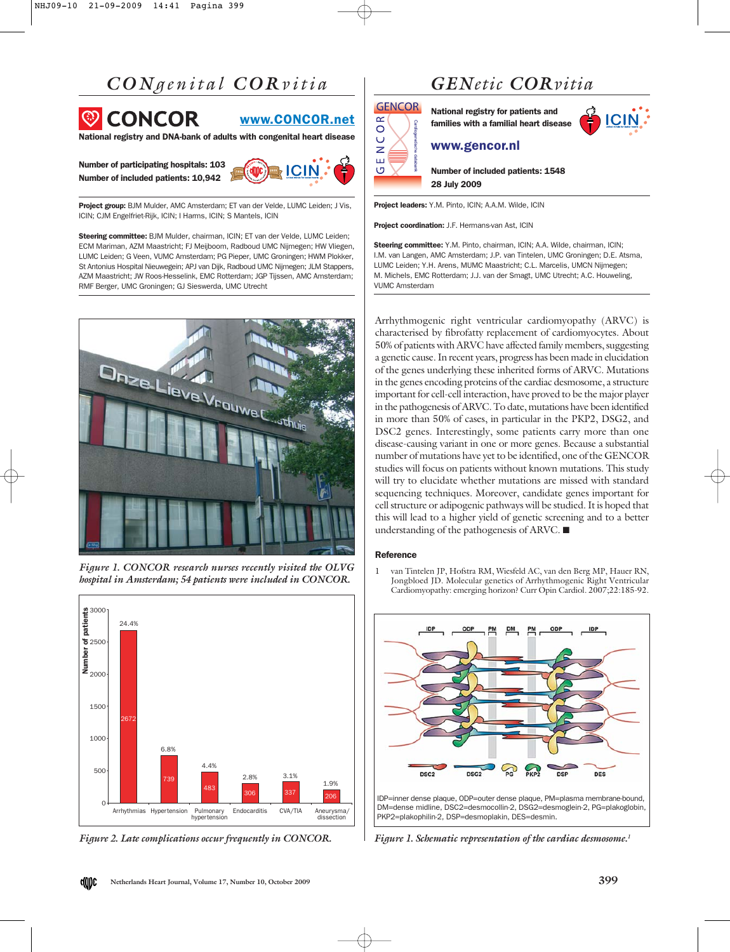# *CON genital COR vitia*



www.CONCOR.net

 $\alpha$  $\circ$  $\cup$  $\overline{z}$  $\pm 1$ 

 $\circ$ 

National registry and DNA-bank of adults with congenital heart disease

Number of participating hospitals: 103 Number of included patients: 10,942



Project group: BJM Mulder, AMC Amsterdam; ET van der Velde, LUMC Leiden; J Vis, ICIN; CJM Engelfriet-Rijk, ICIN; I Harms, ICIN; S Mantels, ICIN

Steering committee: BJM Mulder, chairman, ICIN; ET van der Velde, LUMC Leiden; ECM Mariman, AZM Maastricht; FJ Meijboom, Radboud UMC Nijmegen; HW Vliegen, LUMC Leiden; G Veen, VUMC Amsterdam; PG Pieper, UMC Groningen; HWM Plokker, St Antonius Hospital Nieuwegein; APJ van Dijk, Radboud UMC Nijmegen; JLM Stappers, AZM Maastricht; JW Roos-Hesselink, EMC Rotterdam; JGP Tijssen, AMC Amsterdam; RMF Berger, UMC Groningen; GJ Sieswerda, UMC Utrecht



*Figure 1. CONCOR research nurses recently visited the OLVG hospital in Amsterdam; 54 patients were included in CONCOR.*



*Figure 2. Late complications occur frequently in CONCOR.*

### *GENetic CORvitia*

**GENCOR** National registry for patients and families with a familial heart disease



### www.gencor.nl

Number of included patients: 1548 28 July 2009

Project leaders: Y.M. Pinto, ICIN; A.A.M. Wilde, ICIN

Project coordination: J.F. Hermans-van Ast, ICIN

Steering committee: Y.M. Pinto, chairman, ICIN; A.A. Wilde, chairman, ICIN; I.M. van Langen, AMC Amsterdam; J.P. van Tintelen, UMC Groningen; D.E. Atsma, LUMC Leiden; Y.H. Arens, MUMC Maastricht; C.L. Marcelis, UMCN Nijmegen; M. Michels, EMC Rotterdam; J.J. van der Smagt, UMC Utrecht; A.C. Houweling, VUMC Amsterdam

Arrhythmogenic right ventricular cardiomyopathy (ARVC) is characterised by fibrofatty replacement of cardiomyocytes. About 50% of patients with ARVC have affected family members, suggesting a genetic cause. In recent years, progress has been made in elucidation of the genes underlying these inherited forms of ARVC. Mutations in the genes encoding proteins of the cardiac desmosome, a structure important for cell-cell interaction, have proved to be the major player in the pathogenesis of ARVC. To date, mutations have been identified in more than 50% of cases, in particular in the PKP2, DSG2, and DSC2 genes. Interestingly, some patients carry more than one disease-causing variant in one or more genes. Because a substantial number of mutations have yet to be identified, one of the GENCOR studies will focus on patients without known mutations. This study will try to elucidate whether mutations are missed with standard sequencing techniques. Moreover, candidate genes important for cell structure or adipogenic pathways will be studied. It is hoped that this will lead to a higher yield of genetic screening and to a better understanding of the pathogenesis of ARVC. ■

#### **Reference**

van Tintelen JP, Hofstra RM, Wiesfeld AC, van den Berg MP, Hauer RN, Jongbloed JD. Molecular genetics of Arrhythmogenic Right Ventricular Cardiomyopathy: emerging horizon? Curr Opin Cardiol. 2007;22:185-92.



*Figure 1. Schematic representation of the cardiac desmosome.1*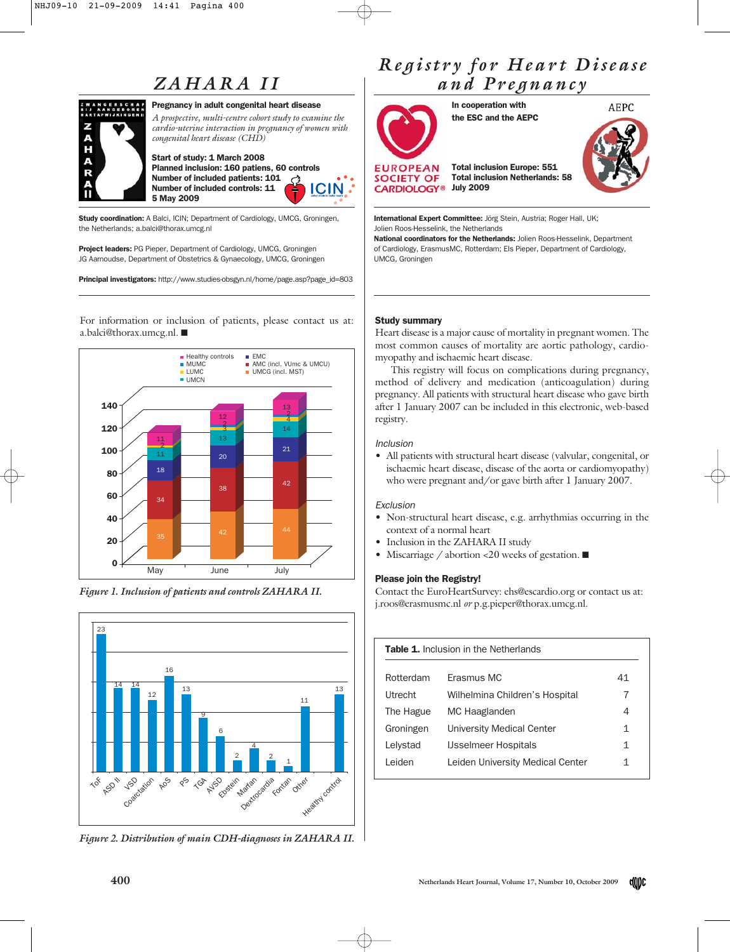# *ZAHARA II*



#### Pregnancy in adult congenital heart disease

*A prospective, multi-centre cohort study to examine the cardio-uterine interaction in pregnancy of women with congenital heart disease (CHD)*

Start of study: 1 March 2008 Planned inclusion: 160 patiens, 60 controls Number of included patients: 101 **ICIN** Number of included controls: 11 5 May 2009

Study coordination: A Balci, ICIN; Department of Cardiology, UMCG, Groningen, the Netherlands; a.balci@thorax.umcg.nl

**Project leaders: PG Pieper, Department of Cardiology, UMCG, Groningen** JG Aarnoudse, Department of Obstetrics & Gynaecology, UMCG, Groningen

Principal investigators: http://www.studies-obsgyn.nl/home/page.asp?page\_id=803

For information or inclusion of patients, please contact us at: a.balci@thorax.umcg.nl. ■







*Figure 2. Distribution of main CDH-diagnoses in ZAHARA II.*

### *Registry for Heart Disease and Pregnancy*



In cooperation with the ESC and the AEPC



**SOCIETY OF** Total inclusion Netherlands: 58 CARDIOLOGY<sup>®</sup> July 2009

International Expert Committee: Jörg Stein, Austria; Roger Hall, UK; Jolien Roos-Hesselink, the Netherlands

National coordinators for the Netherlands: Jolien Roos-Hesselink, Department of Cardiology, ErasmusMC, Rotterdam; Els Pieper, Department of Cardiology, UMCG, Groningen

Total inclusion Europe: 551

#### Study summary

Heart disease is a major cause of mortality in pregnant women. The most common causes of mortality are aortic pathology, cardiomyopathy and ischaemic heart disease.

This registry will focus on complications during pregnancy, method of delivery and medication (anticoagulation) during pregnancy. All patients with structural heart disease who gave birth after 1 January 2007 can be included in this electronic, web-based registry.

#### Inclusion

• All patients with structural heart disease (valvular, congenital, or ischaemic heart disease, disease of the aorta or cardiomyopathy) who were pregnant and/or gave birth after 1 January 2007.

#### Exclusion

- Non-structural heart disease, e.g. arrhythmias occurring in the context of a normal heart
- Inclusion in the ZAHARA II study
- Miscarriage / abortion <20 weeks of gestation. ■

#### Please join the Registry!

Contact the EuroHeartSurvey: ehs@escardio.org or contact us at: j.roos@erasmusmc.nl *or* p.g.pieper@thorax.umcg.nl.

| <b>Table 1.</b> Inclusion in the Netherlands |                                  |    |
|----------------------------------------------|----------------------------------|----|
| Rotterdam                                    | Frasmus MC                       | 41 |
| Utrecht                                      | Wilhelmina Children's Hospital   | 7  |
| The Hague                                    | MC Haaglanden                    | 4  |
| Groningen                                    | <b>University Medical Center</b> | 1  |
| Lelystad                                     | <b>IJsselmeer Hospitals</b>      | 1  |
| I eiden                                      | Leiden University Medical Center | 1  |
|                                              |                                  |    |